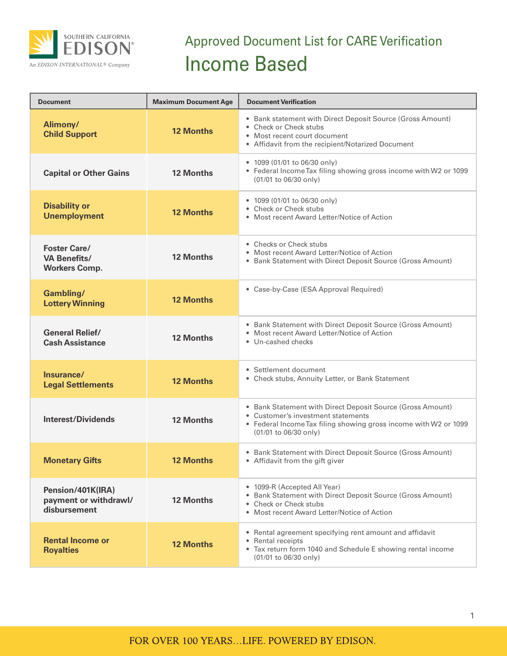

## Approved Document List for CARE Verification Income Based

| <b>Document</b>                                                    | <b>Maximum Document Age</b> | <b>Document Verification</b>                                                                                                                                                                  |
|--------------------------------------------------------------------|-----------------------------|-----------------------------------------------------------------------------------------------------------------------------------------------------------------------------------------------|
| Alimony/<br><b>Child Support</b>                                   | <b>12 Months</b>            | • Bank statement with Direct Deposit Source (Gross Amount)<br>• Check or Check stubs<br>• Most recent court document<br>• Affidavit from the recipient/Notarized Document                     |
| <b>Capital or Other Gains</b>                                      | <b>12 Months</b>            | • 1099 (01/01 to 06/30 only)<br>• Federal Income Tax filing showing gross income with W2 or 1099<br>(01/01 to 06/30 only)                                                                     |
| <b>Disability or</b><br><b>Unemployment</b>                        | <b>12 Months</b>            | • 1099 (01/01 to 06/30 only)<br>• Check or Check stubs<br>• Most recent Award Letter/Notice of Action                                                                                         |
| <b>Foster Care/</b><br><b>VA Benefits/</b><br><b>Workers Comp.</b> | <b>12 Months</b>            | • Checks or Check stubs<br>• Most recent Award Letter/Notice of Action<br>• Bank Statement with Direct Deposit Source (Gross Amount)                                                          |
| <b>Gambling/</b><br><b>Lottery Winning</b>                         | <b>12 Months</b>            | • Case-by-Case (ESA Approval Required)                                                                                                                                                        |
| <b>General Relief/</b><br><b>Cash Assistance</b>                   | <b>12 Months</b>            | • Bank Statement with Direct Deposit Source (Gross Amount)<br>• Most recent Award Letter/Notice of Action<br>• Un-cashed checks                                                               |
| Insurance/<br><b>Legal Settlements</b>                             | <b>12 Months</b>            | • Settlement document<br>• Check stubs, Annuity Letter, or Bank Statement                                                                                                                     |
| <b>Interest/Dividends</b>                                          | <b>12 Months</b>            | • Bank Statement with Direct Deposit Source (Gross Amount)<br>• Customer's investment statements<br>• Federal Income Tax filing showing gross income with W2 or 1099<br>(01/01 to 06/30 only) |
| <b>Monetary Gifts</b>                                              | <b>12 Months</b>            | • Bank Statement with Direct Deposit Source (Gross Amount)<br>• Affidavit from the gift giver                                                                                                 |
| Pension/401K(IRA)<br>payment or withdrawl/<br>disbursement         | <b>12 Months</b>            | • 1099-R (Accepted All Year)<br>• Bank Statement with Direct Deposit Source (Gross Amount)<br>• Check or Check stubs<br>• Most recent Award Letter/Notice of Action                           |
| <b>Rental Income or</b><br><b>Royalties</b>                        | <b>12 Months</b>            | • Rental agreement specifying rent amount and affidavit<br>• Rental receipts<br>• Tax return form 1040 and Schedule E showing rental income<br>(01/01 to 06/30 only)                          |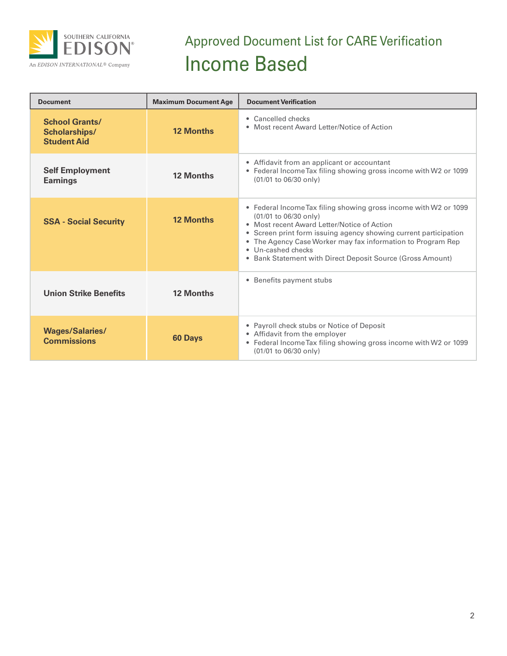

## Approved Document List for CARE Verification Income Based

| <b>Document</b>                                              | <b>Maximum Document Age</b> | <b>Document Verification</b>                                                                                                                                                                                                                                                                                                                                    |
|--------------------------------------------------------------|-----------------------------|-----------------------------------------------------------------------------------------------------------------------------------------------------------------------------------------------------------------------------------------------------------------------------------------------------------------------------------------------------------------|
| <b>School Grants/</b><br>Scholarships/<br><b>Student Aid</b> | <b>12 Months</b>            | • Cancelled checks<br>• Most recent Award Letter/Notice of Action                                                                                                                                                                                                                                                                                               |
| <b>Self Employment</b><br><b>Earnings</b>                    | <b>12 Months</b>            | • Affidavit from an applicant or accountant<br>• Federal Income Tax filing showing gross income with W2 or 1099<br>(01/01 to 06/30 only)                                                                                                                                                                                                                        |
| <b>SSA - Social Security</b>                                 | <b>12 Months</b>            | • Federal Income Tax filing showing gross income with W2 or 1099<br>(01/01 to 06/30 only)<br>• Most recent Award Letter/Notice of Action<br>• Screen print form issuing agency showing current participation<br>• The Agency Case Worker may fax information to Program Rep<br>• Un-cashed checks<br>• Bank Statement with Direct Deposit Source (Gross Amount) |
| <b>Union Strike Benefits</b>                                 | <b>12 Months</b>            | • Benefits payment stubs                                                                                                                                                                                                                                                                                                                                        |
| <b>Wages/Salaries/</b><br><b>Commissions</b>                 | <b>60 Days</b>              | • Payroll check stubs or Notice of Deposit<br>• Affidavit from the employer<br>• Federal Income Tax filing showing gross income with W2 or 1099<br>(01/01 to 06/30 only)                                                                                                                                                                                        |